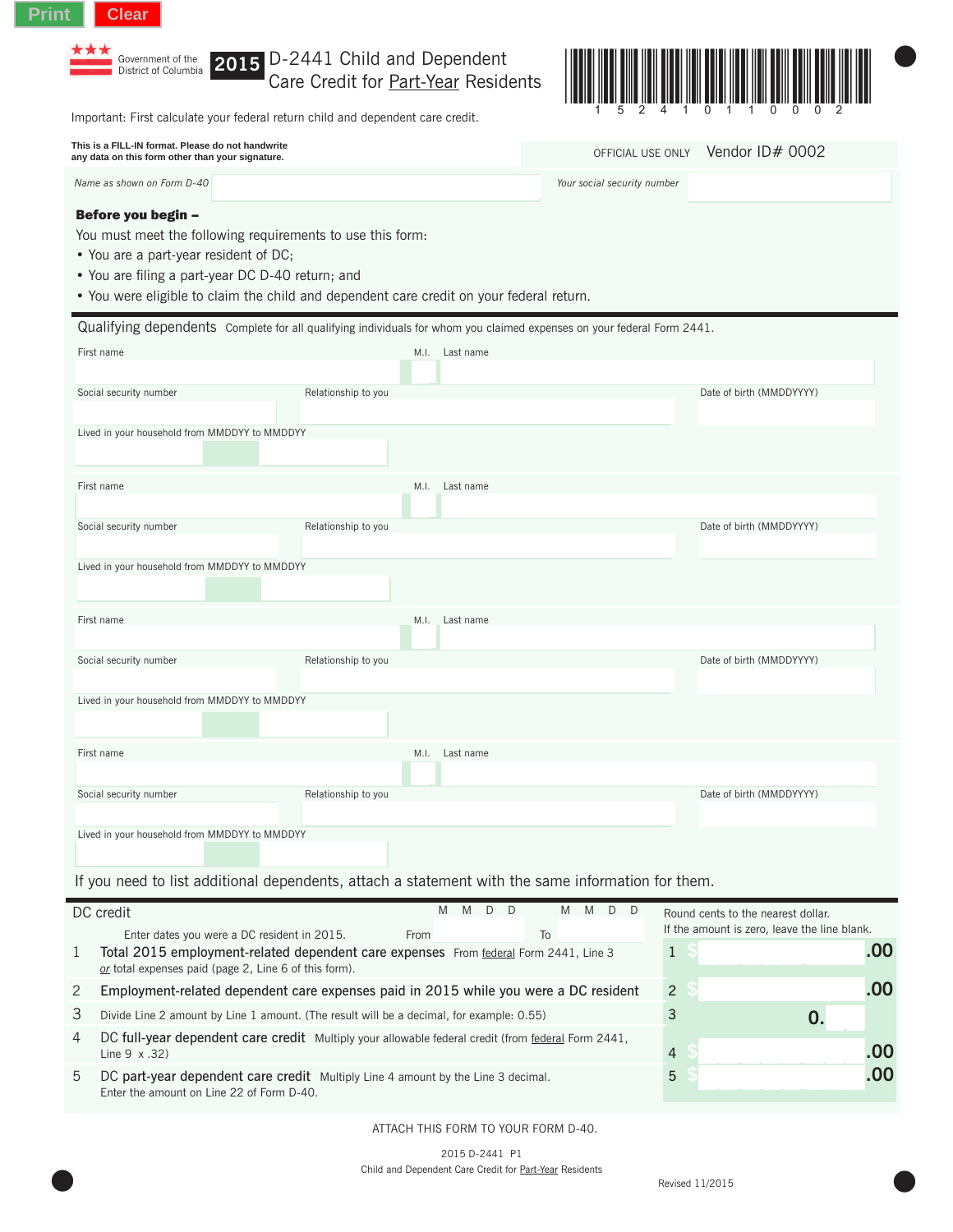

**2015** D-2441 Child and Dependent Care Credit for Part-Year Residents



|   | Important: First calculate your federal return child and dependent care credit.                                                                                                                                                                                           | G<br>$\angle$<br>4<br>- 1 - | U.<br><b>TTU</b><br><b>U</b><br><b>U</b> |                             |                                              |     |
|---|---------------------------------------------------------------------------------------------------------------------------------------------------------------------------------------------------------------------------------------------------------------------------|-----------------------------|------------------------------------------|-----------------------------|----------------------------------------------|-----|
|   | This is a FILL-IN format. Please do not handwrite<br>any data on this form other than your signature.                                                                                                                                                                     |                             |                                          | OFFICIAL USE ONLY           | Vendor ID# 0002                              |     |
|   | Name as shown on Form D-40                                                                                                                                                                                                                                                |                             |                                          | Your social security number |                                              |     |
|   | Before you begin -<br>You must meet the following requirements to use this form:<br>• You are a part-year resident of DC;<br>• You are filing a part-year DC D-40 return; and<br>. You were eligible to claim the child and dependent care credit on your federal return. |                             |                                          |                             |                                              |     |
|   | Qualifying dependents Complete for all qualifying individuals for whom you claimed expenses on your federal Form 2441.                                                                                                                                                    |                             |                                          |                             |                                              |     |
|   | First name                                                                                                                                                                                                                                                                |                             | M.I. Last name                           |                             |                                              |     |
|   | Social security number<br>Relationship to you                                                                                                                                                                                                                             |                             |                                          |                             | Date of birth (MMDDYYYY)                     |     |
|   |                                                                                                                                                                                                                                                                           |                             |                                          |                             |                                              |     |
|   | Lived in your household from MMDDYY to MMDDYY                                                                                                                                                                                                                             |                             |                                          |                             |                                              |     |
|   |                                                                                                                                                                                                                                                                           |                             |                                          |                             |                                              |     |
|   | First name                                                                                                                                                                                                                                                                | M.I.                        | Last name                                |                             |                                              |     |
|   | Social security number<br>Relationship to you                                                                                                                                                                                                                             |                             |                                          |                             | Date of birth (MMDDYYYY)                     |     |
|   |                                                                                                                                                                                                                                                                           |                             |                                          |                             |                                              |     |
|   | Lived in your household from MMDDYY to MMDDYY                                                                                                                                                                                                                             |                             |                                          |                             |                                              |     |
|   | First name                                                                                                                                                                                                                                                                | M.I.                        | Last name                                |                             |                                              |     |
|   |                                                                                                                                                                                                                                                                           |                             |                                          |                             |                                              |     |
|   | Social security number<br>Relationship to you                                                                                                                                                                                                                             |                             |                                          |                             | Date of birth (MMDDYYYY)                     |     |
|   | Lived in your household from MMDDYY to MMDDYY                                                                                                                                                                                                                             |                             |                                          |                             |                                              |     |
|   |                                                                                                                                                                                                                                                                           |                             |                                          |                             |                                              |     |
|   | First name                                                                                                                                                                                                                                                                | M.I.                        | Last name                                |                             |                                              |     |
|   |                                                                                                                                                                                                                                                                           |                             |                                          |                             |                                              |     |
|   | Social security number<br>Relationship to you                                                                                                                                                                                                                             |                             |                                          |                             | Date of birth (MMDDYYYY)                     |     |
|   | Lived in your household from MMDDYY to MMDDYY                                                                                                                                                                                                                             |                             |                                          |                             |                                              |     |
|   |                                                                                                                                                                                                                                                                           |                             |                                          |                             |                                              |     |
|   | If you need to list additional dependents, attach a statement with the same information for them.                                                                                                                                                                         |                             |                                          |                             |                                              |     |
|   | DC credit                                                                                                                                                                                                                                                                 |                             | M M<br>D D                               | M<br>M D D                  | Round cents to the nearest dollar.           |     |
|   | Enter dates you were a DC resident in 2015.                                                                                                                                                                                                                               | From                        |                                          | To                          | If the amount is zero, leave the line blank. | .00 |
| 1 | -S<br>$\mathbf{1}$<br>Total 2015 employment-related dependent care expenses From federal Form 2441, Line 3<br>or total expenses paid (page 2, Line 6 of this form).                                                                                                       |                             |                                          |                             |                                              |     |
| 2 | .00<br>$\overline{2}$<br>S<br>Employment-related dependent care expenses paid in 2015 while you were a DC resident                                                                                                                                                        |                             |                                          |                             |                                              |     |
| 3 | 3<br>Divide Line 2 amount by Line 1 amount. (The result will be a decimal, for example: 0.55)                                                                                                                                                                             |                             |                                          |                             |                                              |     |
| 4 | DC full-year dependent care credit Multiply your allowable federal credit (from federal Form 2441,<br>Line $9 \times .32$ )                                                                                                                                               | 4                           |                                          | .00                         |                                              |     |
| 5 | DC part-year dependent care credit Multiply Line 4 amount by the Line 3 decimal.                                                                                                                                                                                          |                             |                                          |                             |                                              | .00 |

Enter the amount on Line 22 of Form D-40.

ATTACH THIS FORM TO YOUR FORM D-40.